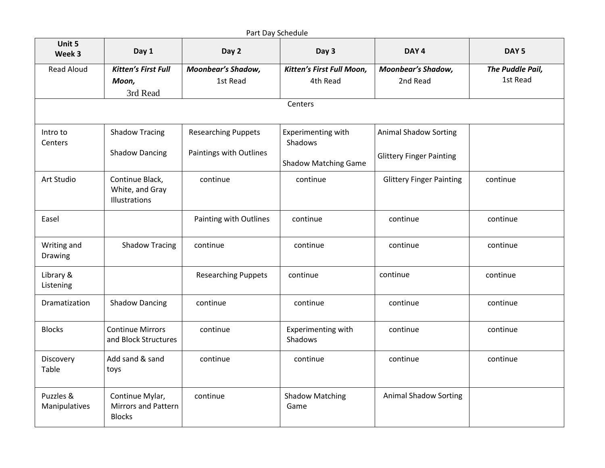|                            |                                                                |                                       | Part Day Schedule                     |                                       |                              |
|----------------------------|----------------------------------------------------------------|---------------------------------------|---------------------------------------|---------------------------------------|------------------------------|
| Unit 5<br>Week 3           | Day 1                                                          | Day 2                                 | Day 3                                 | DAY <sub>4</sub>                      | DAY <sub>5</sub>             |
| <b>Read Aloud</b>          | <b>Kitten's First Full</b><br>Moon,<br>3rd Read                | <b>Moonbear's Shadow,</b><br>1st Read | Kitten's First Full Moon,<br>4th Read | <b>Moonbear's Shadow,</b><br>2nd Read | The Puddle Pail,<br>1st Read |
|                            |                                                                |                                       | Centers                               |                                       |                              |
| Intro to<br>Centers        | <b>Shadow Tracing</b>                                          | <b>Researching Puppets</b>            | Experimenting with<br>Shadows         | <b>Animal Shadow Sorting</b>          |                              |
|                            | <b>Shadow Dancing</b>                                          | Paintings with Outlines               | <b>Shadow Matching Game</b>           | <b>Glittery Finger Painting</b>       |                              |
| Art Studio                 | Continue Black,<br>White, and Gray<br>Illustrations            | continue                              | continue                              | <b>Glittery Finger Painting</b>       | continue                     |
| Easel                      |                                                                | Painting with Outlines                | continue                              | continue                              | continue                     |
| Writing and<br>Drawing     | <b>Shadow Tracing</b>                                          | continue                              | continue                              | continue                              | continue                     |
| Library &<br>Listening     |                                                                | <b>Researching Puppets</b>            | continue                              | continue                              | continue                     |
| Dramatization              | <b>Shadow Dancing</b>                                          | continue                              | continue                              | continue                              | continue                     |
| <b>Blocks</b>              | <b>Continue Mirrors</b><br>and Block Structures                | continue                              | Experimenting with<br>Shadows         | continue                              | continue                     |
| Discovery<br>Table         | Add sand & sand<br>toys                                        | continue                              | continue                              | continue                              | continue                     |
| Puzzles &<br>Manipulatives | Continue Mylar,<br><b>Mirrors and Pattern</b><br><b>Blocks</b> | continue                              | <b>Shadow Matching</b><br>Game        | <b>Animal Shadow Sorting</b>          |                              |